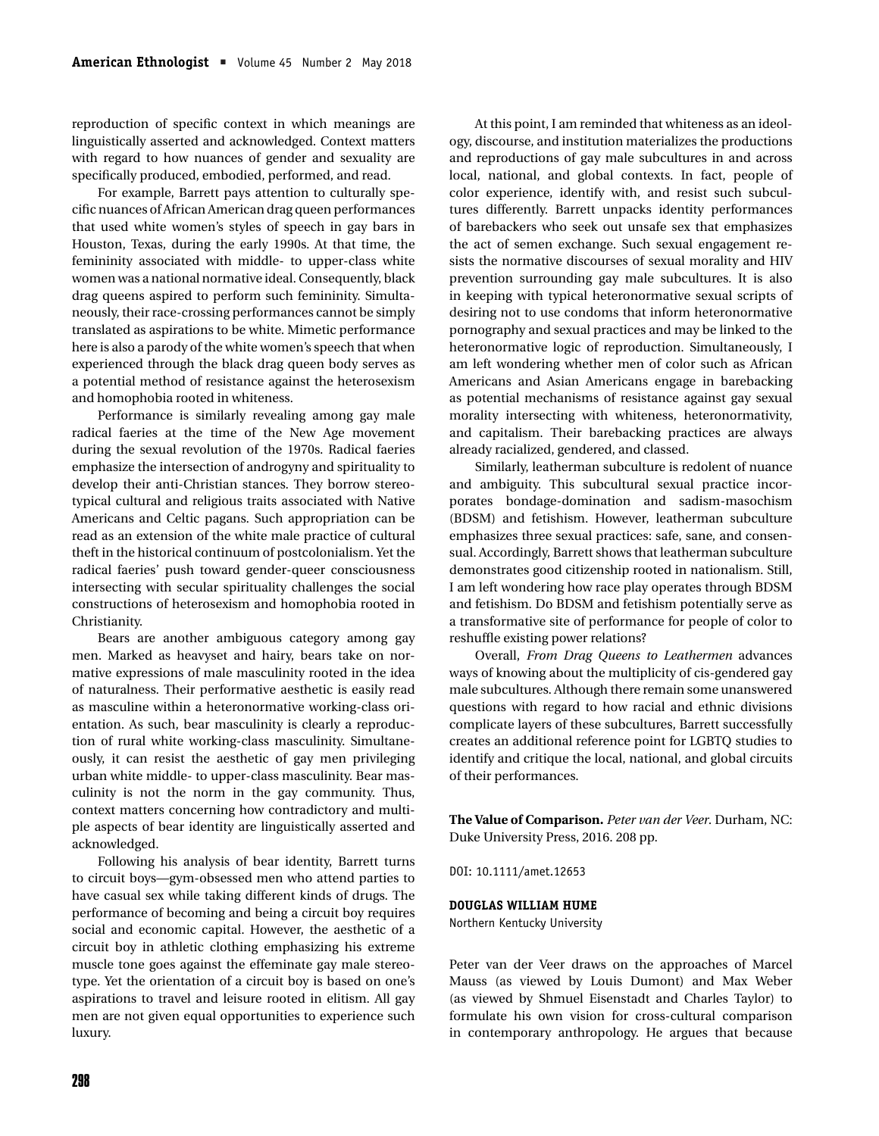reproduction of specific context in which meanings are linguistically asserted and acknowledged. Context matters with regard to how nuances of gender and sexuality are specifically produced, embodied, performed, and read.

For example, Barrett pays attention to culturally specific nuances of African American drag queen performances that used white women's styles of speech in gay bars in Houston, Texas, during the early 1990s. At that time, the femininity associated with middle- to upper-class white women was a national normative ideal. Consequently, black drag queens aspired to perform such femininity. Simultaneously, their race-crossing performances cannot be simply translated as aspirations to be white. Mimetic performance here is also a parody of the white women's speech that when experienced through the black drag queen body serves as a potential method of resistance against the heterosexism and homophobia rooted in whiteness.

Performance is similarly revealing among gay male radical faeries at the time of the New Age movement during the sexual revolution of the 1970s. Radical faeries emphasize the intersection of androgyny and spirituality to develop their anti-Christian stances. They borrow stereotypical cultural and religious traits associated with Native Americans and Celtic pagans. Such appropriation can be read as an extension of the white male practice of cultural theft in the historical continuum of postcolonialism. Yet the radical faeries' push toward gender-queer consciousness intersecting with secular spirituality challenges the social constructions of heterosexism and homophobia rooted in Christianity.

Bears are another ambiguous category among gay men. Marked as heavyset and hairy, bears take on normative expressions of male masculinity rooted in the idea of naturalness. Their performative aesthetic is easily read as masculine within a heteronormative working-class orientation. As such, bear masculinity is clearly a reproduction of rural white working-class masculinity. Simultaneously, it can resist the aesthetic of gay men privileging urban white middle- to upper-class masculinity. Bear masculinity is not the norm in the gay community. Thus, context matters concerning how contradictory and multiple aspects of bear identity are linguistically asserted and acknowledged.

Following his analysis of bear identity, Barrett turns to circuit boys—gym-obsessed men who attend parties to have casual sex while taking different kinds of drugs. The performance of becoming and being a circuit boy requires social and economic capital. However, the aesthetic of a circuit boy in athletic clothing emphasizing his extreme muscle tone goes against the effeminate gay male stereotype. Yet the orientation of a circuit boy is based on one's aspirations to travel and leisure rooted in elitism. All gay men are not given equal opportunities to experience such luxury.

At this point, I am reminded that whiteness as an ideology, discourse, and institution materializes the productions and reproductions of gay male subcultures in and across local, national, and global contexts. In fact, people of color experience, identify with, and resist such subcultures differently. Barrett unpacks identity performances of barebackers who seek out unsafe sex that emphasizes the act of semen exchange. Such sexual engagement resists the normative discourses of sexual morality and HIV prevention surrounding gay male subcultures. It is also in keeping with typical heteronormative sexual scripts of desiring not to use condoms that inform heteronormative pornography and sexual practices and may be linked to the heteronormative logic of reproduction. Simultaneously, I am left wondering whether men of color such as African Americans and Asian Americans engage in barebacking as potential mechanisms of resistance against gay sexual morality intersecting with whiteness, heteronormativity, and capitalism. Their barebacking practices are always already racialized, gendered, and classed.

Similarly, leatherman subculture is redolent of nuance and ambiguity. This subcultural sexual practice incorporates bondage-domination and sadism-masochism (BDSM) and fetishism. However, leatherman subculture emphasizes three sexual practices: safe, sane, and consensual. Accordingly, Barrett shows that leatherman subculture demonstrates good citizenship rooted in nationalism. Still, I am left wondering how race play operates through BDSM and fetishism. Do BDSM and fetishism potentially serve as a transformative site of performance for people of color to reshuffle existing power relations?

Overall, *From Drag Queens to Leathermen* advances ways of knowing about the multiplicity of cis-gendered gay male subcultures. Although there remain some unanswered questions with regard to how racial and ethnic divisions complicate layers of these subcultures, Barrett successfully creates an additional reference point for LGBTQ studies to identify and critique the local, national, and global circuits of their performances.

**The Value of Comparison.** *Peter van der Veer*. Durham, NC: Duke University Press, 2016. 208 pp.

DOI: 10.1111/amet.12653

## **DOUGLAS WILLIAM HUME**

Northern Kentucky University

Peter van der Veer draws on the approaches of Marcel Mauss (as viewed by Louis Dumont) and Max Weber (as viewed by Shmuel Eisenstadt and Charles Taylor) to formulate his own vision for cross-cultural comparison in contemporary anthropology. He argues that because